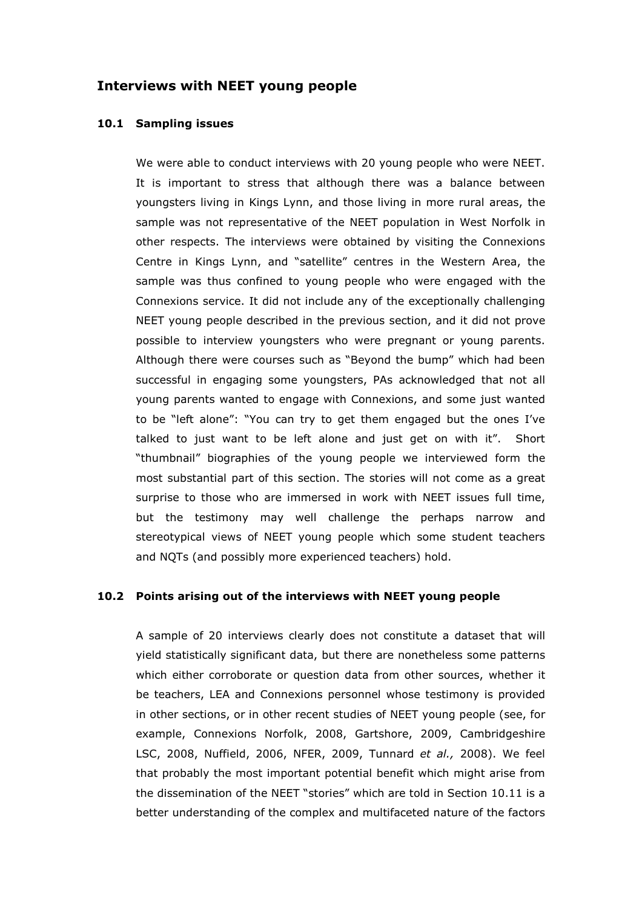# Interviews with NEET young people

### 10.1 Sampling issues

We were able to conduct interviews with 20 young people who were NEET. It is important to stress that although there was a balance between youngsters living in Kings Lynn, and those living in more rural areas, the sample was not representative of the NEET population in West Norfolk in other respects. The interviews were obtained by visiting the Connexions Centre in Kings Lynn, and "satellite" centres in the Western Area, the sample was thus confined to young people who were engaged with the Connexions service. It did not include any of the exceptionally challenging NEET young people described in the previous section, and it did not prove possible to interview youngsters who were pregnant or young parents. Although there were courses such as "Beyond the bump" which had been successful in engaging some youngsters, PAs acknowledged that not all young parents wanted to engage with Connexions, and some just wanted to be "left alone": "You can try to get them engaged but the ones I've talked to just want to be left alone and just get on with it". Short "thumbnail" biographies of the young people we interviewed form the most substantial part of this section. The stories will not come as a great surprise to those who are immersed in work with NEET issues full time, but the testimony may well challenge the perhaps narrow and stereotypical views of NEET young people which some student teachers and NQTs (and possibly more experienced teachers) hold.

# 10.2 Points arising out of the interviews with NEET young people

A sample of 20 interviews clearly does not constitute a dataset that will yield statistically significant data, but there are nonetheless some patterns which either corroborate or question data from other sources, whether it be teachers, LEA and Connexions personnel whose testimony is provided in other sections, or in other recent studies of NEET young people (see, for example, Connexions Norfolk, 2008, Gartshore, 2009, Cambridgeshire LSC, 2008, Nuffield, 2006, NFER, 2009, Tunnard et al., 2008). We feel that probably the most important potential benefit which might arise from the dissemination of the NEET "stories" which are told in Section 10.11 is a better understanding of the complex and multifaceted nature of the factors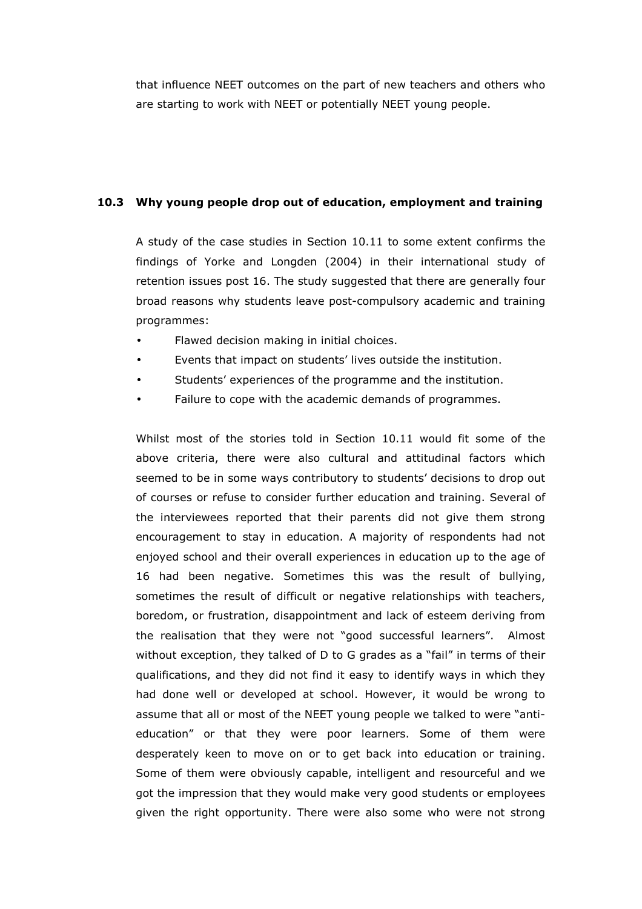that influence NEET outcomes on the part of new teachers and others who are starting to work with NEET or potentially NEET young people.

# 10.3 Why young people drop out of education, employment and training

 A study of the case studies in Section 10.11 to some extent confirms the findings of Yorke and Longden (2004) in their international study of retention issues post 16. The study suggested that there are generally four broad reasons why students leave post-compulsory academic and training programmes:

- Flawed decision making in initial choices.
- Events that impact on students' lives outside the institution.
- Students' experiences of the programme and the institution.
- Failure to cope with the academic demands of programmes.

Whilst most of the stories told in Section 10.11 would fit some of the above criteria, there were also cultural and attitudinal factors which seemed to be in some ways contributory to students' decisions to drop out of courses or refuse to consider further education and training. Several of the interviewees reported that their parents did not give them strong encouragement to stay in education. A majority of respondents had not enjoyed school and their overall experiences in education up to the age of 16 had been negative. Sometimes this was the result of bullying, sometimes the result of difficult or negative relationships with teachers, boredom, or frustration, disappointment and lack of esteem deriving from the realisation that they were not "good successful learners". Almost without exception, they talked of D to G grades as a "fail" in terms of their qualifications, and they did not find it easy to identify ways in which they had done well or developed at school. However, it would be wrong to assume that all or most of the NEET young people we talked to were "antieducation" or that they were poor learners. Some of them were desperately keen to move on or to get back into education or training. Some of them were obviously capable, intelligent and resourceful and we got the impression that they would make very good students or employees given the right opportunity. There were also some who were not strong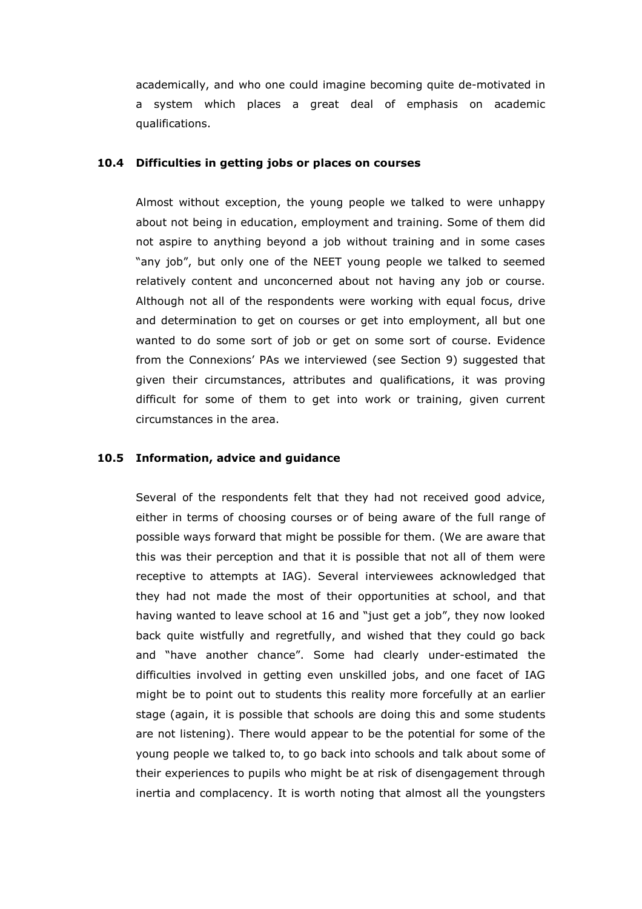academically, and who one could imagine becoming quite de-motivated in a system which places a great deal of emphasis on academic qualifications.

## 10.4 Difficulties in getting jobs or places on courses

Almost without exception, the young people we talked to were unhappy about not being in education, employment and training. Some of them did not aspire to anything beyond a job without training and in some cases "any job", but only one of the NEET young people we talked to seemed relatively content and unconcerned about not having any job or course. Although not all of the respondents were working with equal focus, drive and determination to get on courses or get into employment, all but one wanted to do some sort of job or get on some sort of course. Evidence from the Connexions' PAs we interviewed (see Section 9) suggested that given their circumstances, attributes and qualifications, it was proving difficult for some of them to get into work or training, given current circumstances in the area.

# 10.5 Information, advice and guidance

Several of the respondents felt that they had not received good advice, either in terms of choosing courses or of being aware of the full range of possible ways forward that might be possible for them. (We are aware that this was their perception and that it is possible that not all of them were receptive to attempts at IAG). Several interviewees acknowledged that they had not made the most of their opportunities at school, and that having wanted to leave school at 16 and "just get a job", they now looked back quite wistfully and regretfully, and wished that they could go back and "have another chance". Some had clearly under-estimated the difficulties involved in getting even unskilled jobs, and one facet of IAG might be to point out to students this reality more forcefully at an earlier stage (again, it is possible that schools are doing this and some students are not listening). There would appear to be the potential for some of the young people we talked to, to go back into schools and talk about some of their experiences to pupils who might be at risk of disengagement through inertia and complacency. It is worth noting that almost all the youngsters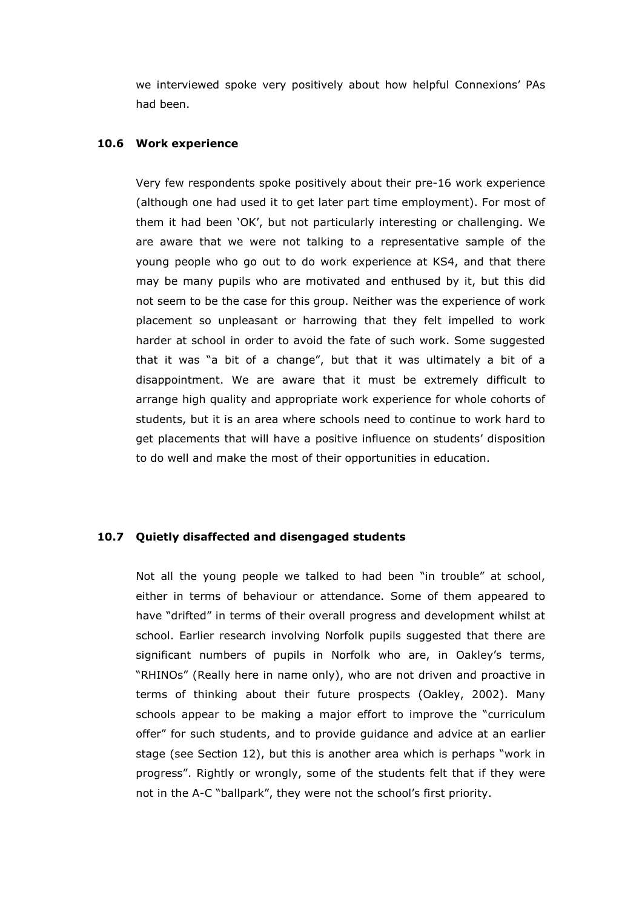we interviewed spoke very positively about how helpful Connexions' PAs had been.

### 10.6 Work experience

Very few respondents spoke positively about their pre-16 work experience (although one had used it to get later part time employment). For most of them it had been 'OK', but not particularly interesting or challenging. We are aware that we were not talking to a representative sample of the young people who go out to do work experience at KS4, and that there may be many pupils who are motivated and enthused by it, but this did not seem to be the case for this group. Neither was the experience of work placement so unpleasant or harrowing that they felt impelled to work harder at school in order to avoid the fate of such work. Some suggested that it was "a bit of a change", but that it was ultimately a bit of a disappointment. We are aware that it must be extremely difficult to arrange high quality and appropriate work experience for whole cohorts of students, but it is an area where schools need to continue to work hard to get placements that will have a positive influence on students' disposition to do well and make the most of their opportunities in education.

# 10.7 Quietly disaffected and disengaged students

Not all the young people we talked to had been "in trouble" at school, either in terms of behaviour or attendance. Some of them appeared to have "drifted" in terms of their overall progress and development whilst at school. Earlier research involving Norfolk pupils suggested that there are significant numbers of pupils in Norfolk who are, in Oakley's terms, "RHINOs" (Really here in name only), who are not driven and proactive in terms of thinking about their future prospects (Oakley, 2002). Many schools appear to be making a major effort to improve the "curriculum offer" for such students, and to provide guidance and advice at an earlier stage (see Section 12), but this is another area which is perhaps "work in progress". Rightly or wrongly, some of the students felt that if they were not in the A-C "ballpark", they were not the school's first priority.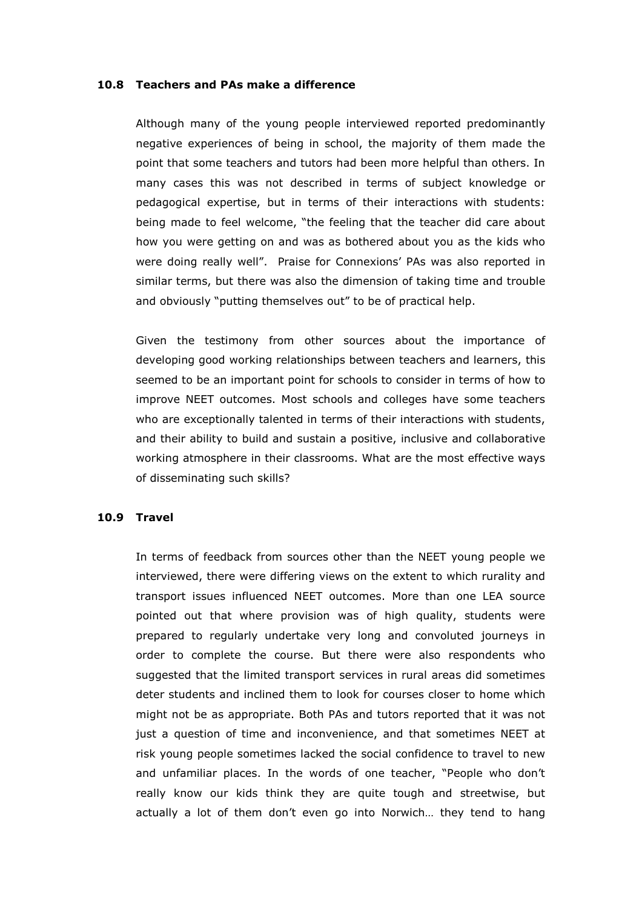## 10.8 Teachers and PAs make a difference

Although many of the young people interviewed reported predominantly negative experiences of being in school, the majority of them made the point that some teachers and tutors had been more helpful than others. In many cases this was not described in terms of subject knowledge or pedagogical expertise, but in terms of their interactions with students: being made to feel welcome, "the feeling that the teacher did care about how you were getting on and was as bothered about you as the kids who were doing really well". Praise for Connexions' PAs was also reported in similar terms, but there was also the dimension of taking time and trouble and obviously "putting themselves out" to be of practical help.

Given the testimony from other sources about the importance of developing good working relationships between teachers and learners, this seemed to be an important point for schools to consider in terms of how to improve NEET outcomes. Most schools and colleges have some teachers who are exceptionally talented in terms of their interactions with students, and their ability to build and sustain a positive, inclusive and collaborative working atmosphere in their classrooms. What are the most effective ways of disseminating such skills?

# 10.9 Travel

In terms of feedback from sources other than the NEET young people we interviewed, there were differing views on the extent to which rurality and transport issues influenced NEET outcomes. More than one LEA source pointed out that where provision was of high quality, students were prepared to regularly undertake very long and convoluted journeys in order to complete the course. But there were also respondents who suggested that the limited transport services in rural areas did sometimes deter students and inclined them to look for courses closer to home which might not be as appropriate. Both PAs and tutors reported that it was not just a question of time and inconvenience, and that sometimes NEET at risk young people sometimes lacked the social confidence to travel to new and unfamiliar places. In the words of one teacher, "People who don't really know our kids think they are quite tough and streetwise, but actually a lot of them don't even go into Norwich… they tend to hang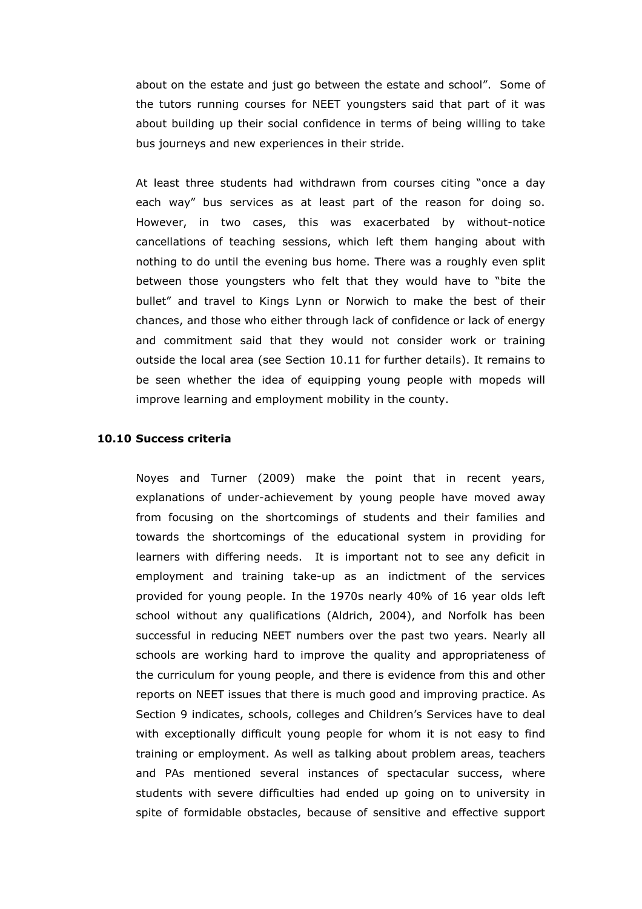about on the estate and just go between the estate and school". Some of the tutors running courses for NEET youngsters said that part of it was about building up their social confidence in terms of being willing to take bus journeys and new experiences in their stride.

At least three students had withdrawn from courses citing "once a day each way" bus services as at least part of the reason for doing so. However, in two cases, this was exacerbated by without-notice cancellations of teaching sessions, which left them hanging about with nothing to do until the evening bus home. There was a roughly even split between those youngsters who felt that they would have to "bite the bullet" and travel to Kings Lynn or Norwich to make the best of their chances, and those who either through lack of confidence or lack of energy and commitment said that they would not consider work or training outside the local area (see Section 10.11 for further details). It remains to be seen whether the idea of equipping young people with mopeds will improve learning and employment mobility in the county.

#### 10.10 Success criteria

Noyes and Turner (2009) make the point that in recent years, explanations of under-achievement by young people have moved away from focusing on the shortcomings of students and their families and towards the shortcomings of the educational system in providing for learners with differing needs. It is important not to see any deficit in employment and training take-up as an indictment of the services provided for young people. In the 1970s nearly 40% of 16 year olds left school without any qualifications (Aldrich, 2004), and Norfolk has been successful in reducing NEET numbers over the past two years. Nearly all schools are working hard to improve the quality and appropriateness of the curriculum for young people, and there is evidence from this and other reports on NEET issues that there is much good and improving practice. As Section 9 indicates, schools, colleges and Children's Services have to deal with exceptionally difficult young people for whom it is not easy to find training or employment. As well as talking about problem areas, teachers and PAs mentioned several instances of spectacular success, where students with severe difficulties had ended up going on to university in spite of formidable obstacles, because of sensitive and effective support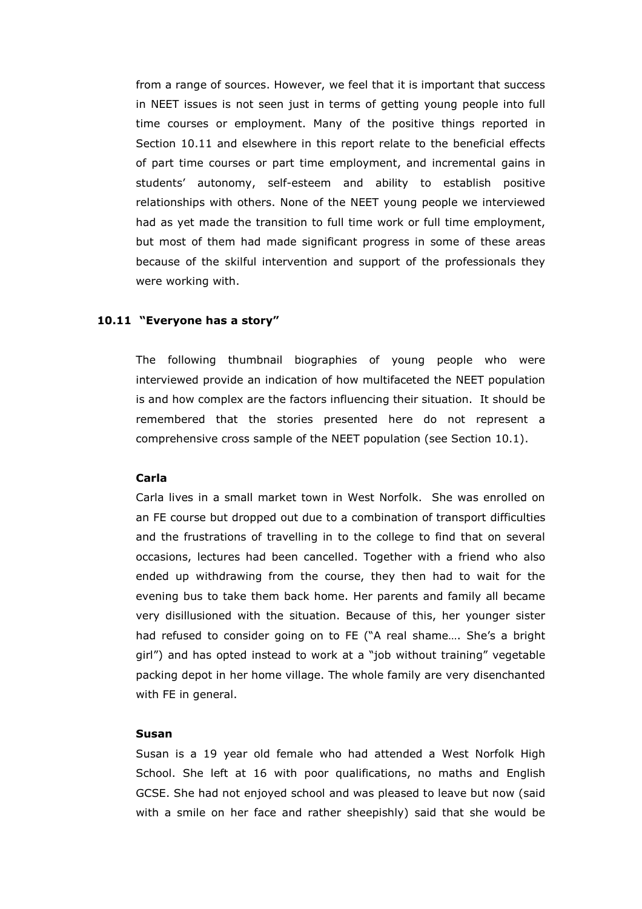from a range of sources. However, we feel that it is important that success in NEET issues is not seen just in terms of getting young people into full time courses or employment. Many of the positive things reported in Section 10.11 and elsewhere in this report relate to the beneficial effects of part time courses or part time employment, and incremental gains in students' autonomy, self-esteem and ability to establish positive relationships with others. None of the NEET young people we interviewed had as yet made the transition to full time work or full time employment, but most of them had made significant progress in some of these areas because of the skilful intervention and support of the professionals they were working with.

#### 10.11 "Everyone has a story"

The following thumbnail biographies of young people who were interviewed provide an indication of how multifaceted the NEET population is and how complex are the factors influencing their situation. It should be remembered that the stories presented here do not represent a comprehensive cross sample of the NEET population (see Section 10.1).

# Carla

Carla lives in a small market town in West Norfolk. She was enrolled on an FE course but dropped out due to a combination of transport difficulties and the frustrations of travelling in to the college to find that on several occasions, lectures had been cancelled. Together with a friend who also ended up withdrawing from the course, they then had to wait for the evening bus to take them back home. Her parents and family all became very disillusioned with the situation. Because of this, her younger sister had refused to consider going on to FE ("A real shame…. She's a bright girl") and has opted instead to work at a "job without training" vegetable packing depot in her home village. The whole family are very disenchanted with FE in general.

#### Susan

Susan is a 19 year old female who had attended a West Norfolk High School. She left at 16 with poor qualifications, no maths and English GCSE. She had not enjoyed school and was pleased to leave but now (said with a smile on her face and rather sheepishly) said that she would be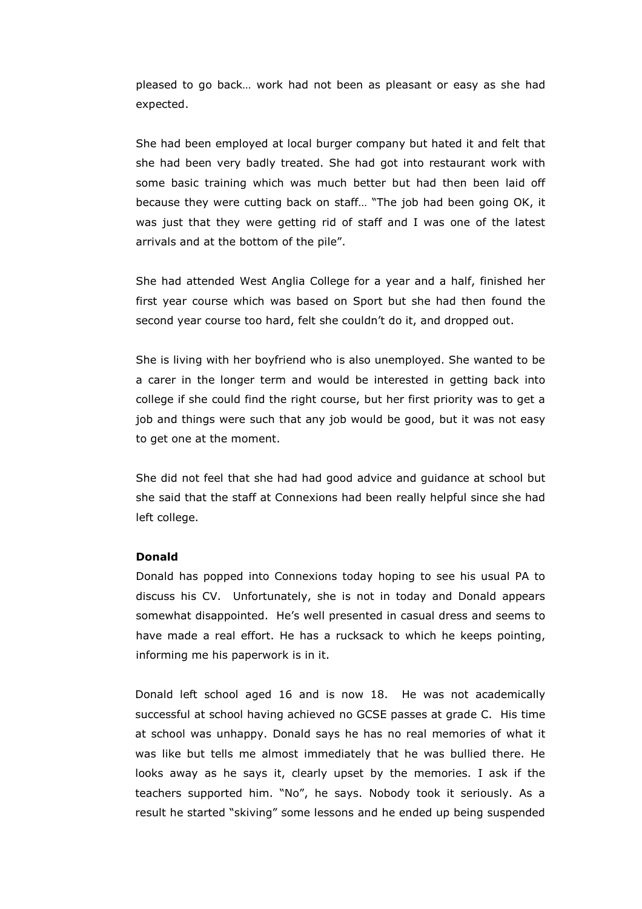pleased to go back… work had not been as pleasant or easy as she had expected.

She had been employed at local burger company but hated it and felt that she had been very badly treated. She had got into restaurant work with some basic training which was much better but had then been laid off because they were cutting back on staff… "The job had been going OK, it was just that they were getting rid of staff and I was one of the latest arrivals and at the bottom of the pile".

She had attended West Anglia College for a year and a half, finished her first year course which was based on Sport but she had then found the second year course too hard, felt she couldn't do it, and dropped out.

She is living with her boyfriend who is also unemployed. She wanted to be a carer in the longer term and would be interested in getting back into college if she could find the right course, but her first priority was to get a job and things were such that any job would be good, but it was not easy to get one at the moment.

She did not feel that she had had good advice and guidance at school but she said that the staff at Connexions had been really helpful since she had left college.

#### Donald

Donald has popped into Connexions today hoping to see his usual PA to discuss his CV. Unfortunately, she is not in today and Donald appears somewhat disappointed. He's well presented in casual dress and seems to have made a real effort. He has a rucksack to which he keeps pointing, informing me his paperwork is in it.

 Donald left school aged 16 and is now 18. He was not academically successful at school having achieved no GCSE passes at grade C. His time at school was unhappy. Donald says he has no real memories of what it was like but tells me almost immediately that he was bullied there. He looks away as he says it, clearly upset by the memories. I ask if the teachers supported him. "No", he says. Nobody took it seriously. As a result he started "skiving" some lessons and he ended up being suspended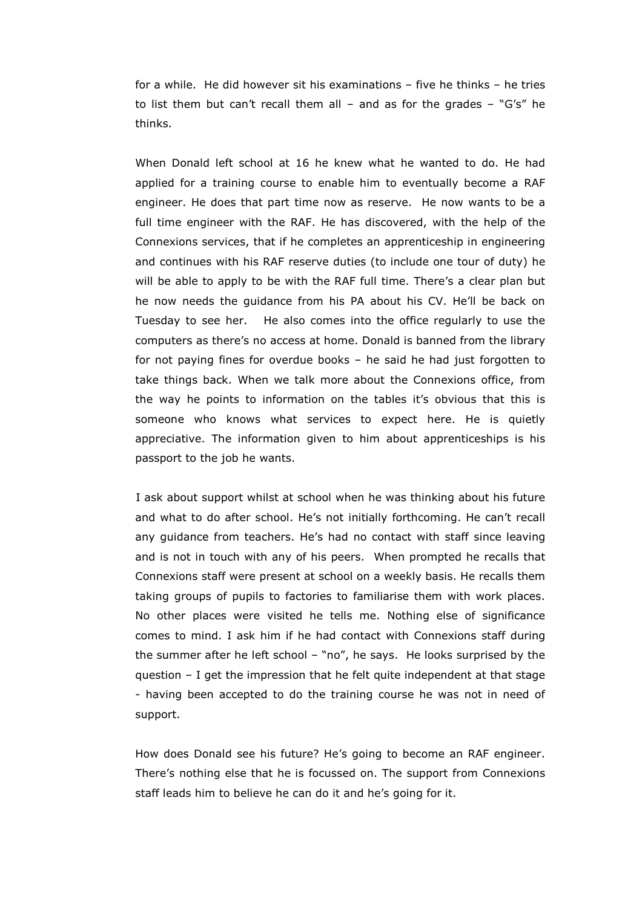for a while. He did however sit his examinations – five he thinks – he tries to list them but can't recall them all – and as for the grades – "G's" he thinks.

 When Donald left school at 16 he knew what he wanted to do. He had applied for a training course to enable him to eventually become a RAF engineer. He does that part time now as reserve. He now wants to be a full time engineer with the RAF. He has discovered, with the help of the Connexions services, that if he completes an apprenticeship in engineering and continues with his RAF reserve duties (to include one tour of duty) he will be able to apply to be with the RAF full time. There's a clear plan but he now needs the guidance from his PA about his CV. He'll be back on Tuesday to see her. He also comes into the office regularly to use the computers as there's no access at home. Donald is banned from the library for not paying fines for overdue books – he said he had just forgotten to take things back. When we talk more about the Connexions office, from the way he points to information on the tables it's obvious that this is someone who knows what services to expect here. He is quietly appreciative. The information given to him about apprenticeships is his passport to the job he wants.

 I ask about support whilst at school when he was thinking about his future and what to do after school. He's not initially forthcoming. He can't recall any guidance from teachers. He's had no contact with staff since leaving and is not in touch with any of his peers. When prompted he recalls that Connexions staff were present at school on a weekly basis. He recalls them taking groups of pupils to factories to familiarise them with work places. No other places were visited he tells me. Nothing else of significance comes to mind. I ask him if he had contact with Connexions staff during the summer after he left school – "no", he says. He looks surprised by the question – I get the impression that he felt quite independent at that stage - having been accepted to do the training course he was not in need of support.

 How does Donald see his future? He's going to become an RAF engineer. There's nothing else that he is focussed on. The support from Connexions staff leads him to believe he can do it and he's going for it.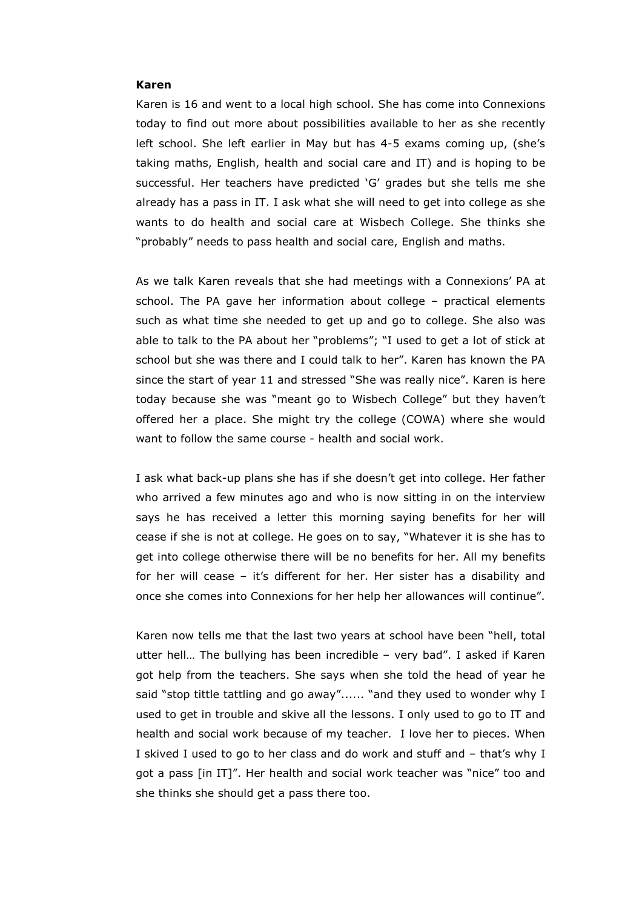#### Karen

Karen is 16 and went to a local high school. She has come into Connexions today to find out more about possibilities available to her as she recently left school. She left earlier in May but has 4-5 exams coming up, (she's taking maths, English, health and social care and IT) and is hoping to be successful. Her teachers have predicted 'G' grades but she tells me she already has a pass in IT. I ask what she will need to get into college as she wants to do health and social care at Wisbech College. She thinks she "probably" needs to pass health and social care, English and maths.

As we talk Karen reveals that she had meetings with a Connexions' PA at school. The PA gave her information about college – practical elements such as what time she needed to get up and go to college. She also was able to talk to the PA about her "problems"; "I used to get a lot of stick at school but she was there and I could talk to her". Karen has known the PA since the start of year 11 and stressed "She was really nice". Karen is here today because she was "meant go to Wisbech College" but they haven't offered her a place. She might try the college (COWA) where she would want to follow the same course - health and social work.

I ask what back-up plans she has if she doesn't get into college. Her father who arrived a few minutes ago and who is now sitting in on the interview says he has received a letter this morning saying benefits for her will cease if she is not at college. He goes on to say, "Whatever it is she has to get into college otherwise there will be no benefits for her. All my benefits for her will cease – it's different for her. Her sister has a disability and once she comes into Connexions for her help her allowances will continue".

Karen now tells me that the last two years at school have been "hell, total utter hell… The bullying has been incredible – very bad". I asked if Karen got help from the teachers. She says when she told the head of year he said "stop tittle tattling and go away"...... "and they used to wonder why I used to get in trouble and skive all the lessons. I only used to go to IT and health and social work because of my teacher. I love her to pieces. When I skived I used to go to her class and do work and stuff and – that's why I got a pass [in IT]". Her health and social work teacher was "nice" too and she thinks she should get a pass there too.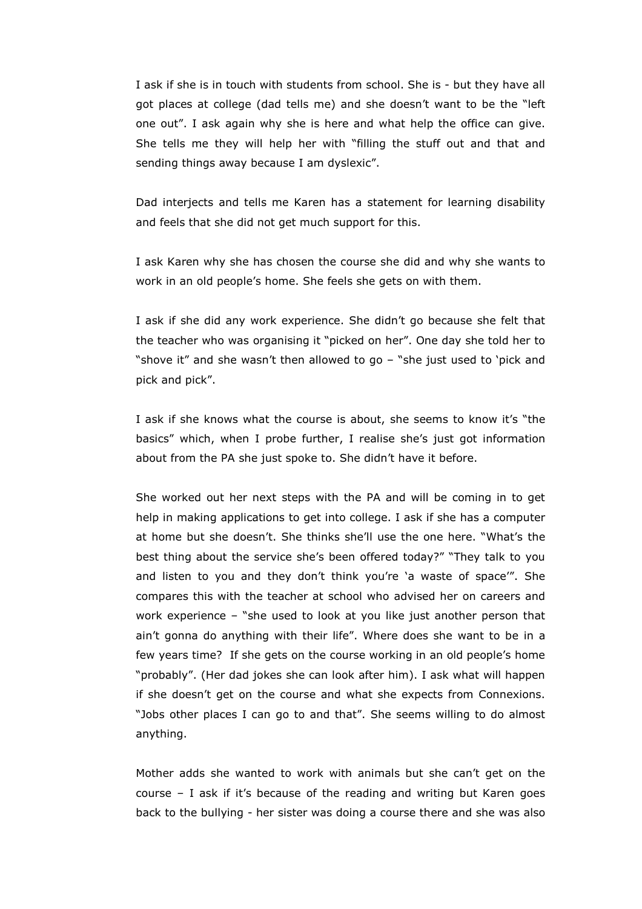I ask if she is in touch with students from school. She is - but they have all got places at college (dad tells me) and she doesn't want to be the "left one out". I ask again why she is here and what help the office can give. She tells me they will help her with "filling the stuff out and that and sending things away because I am dyslexic".

Dad interjects and tells me Karen has a statement for learning disability and feels that she did not get much support for this.

I ask Karen why she has chosen the course she did and why she wants to work in an old people's home. She feels she gets on with them.

I ask if she did any work experience. She didn't go because she felt that the teacher who was organising it "picked on her". One day she told her to "shove it" and she wasn't then allowed to go – "she just used to 'pick and pick and pick".

I ask if she knows what the course is about, she seems to know it's "the basics" which, when I probe further, I realise she's just got information about from the PA she just spoke to. She didn't have it before.

She worked out her next steps with the PA and will be coming in to get help in making applications to get into college. I ask if she has a computer at home but she doesn't. She thinks she'll use the one here. "What's the best thing about the service she's been offered today?" "They talk to you and listen to you and they don't think you're 'a waste of space'". She compares this with the teacher at school who advised her on careers and work experience – "she used to look at you like just another person that ain't gonna do anything with their life". Where does she want to be in a few years time? If she gets on the course working in an old people's home "probably". (Her dad jokes she can look after him). I ask what will happen if she doesn't get on the course and what she expects from Connexions. "Jobs other places I can go to and that". She seems willing to do almost anything.

Mother adds she wanted to work with animals but she can't get on the course – I ask if it's because of the reading and writing but Karen goes back to the bullying - her sister was doing a course there and she was also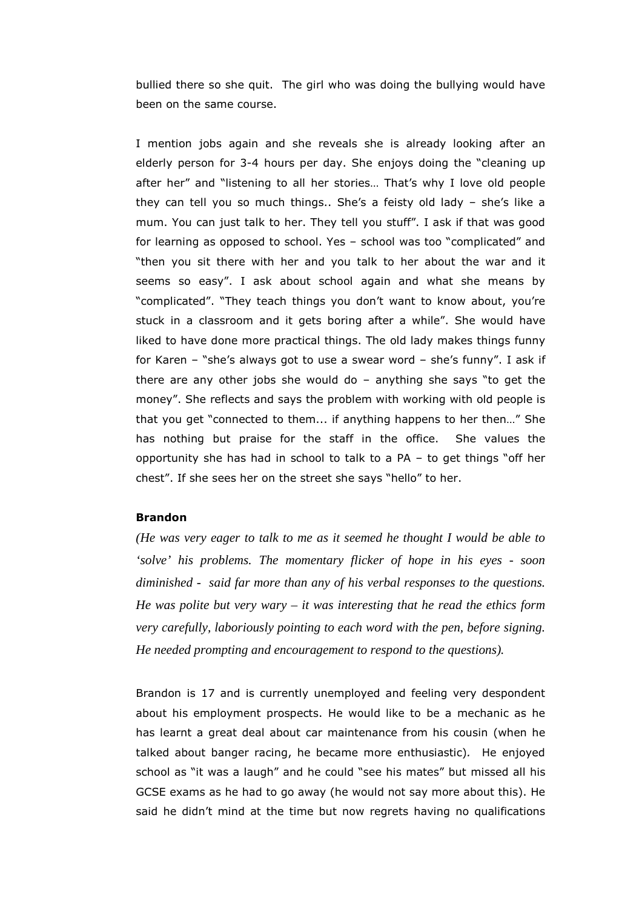bullied there so she quit. The girl who was doing the bullying would have been on the same course.

I mention jobs again and she reveals she is already looking after an elderly person for 3-4 hours per day. She enjoys doing the "cleaning up after her" and "listening to all her stories… That's why I love old people they can tell you so much things.. She's a feisty old lady – she's like a mum. You can just talk to her. They tell you stuff". I ask if that was good for learning as opposed to school. Yes – school was too "complicated" and "then you sit there with her and you talk to her about the war and it seems so easy". I ask about school again and what she means by "complicated". "They teach things you don't want to know about, you're stuck in a classroom and it gets boring after a while". She would have liked to have done more practical things. The old lady makes things funny for Karen – "she's always got to use a swear word – she's funny". I ask if there are any other jobs she would do  $-$  anything she says "to get the money". She reflects and says the problem with working with old people is that you get "connected to them... if anything happens to her then…" She has nothing but praise for the staff in the office. She values the opportunity she has had in school to talk to a PA – to get things "off her chest". If she sees her on the street she says "hello" to her.

# Brandon

*(He was very eager to talk to me as it seemed he thought I would be able to 'solve' his problems. The momentary flicker of hope in his eyes - soon diminished - said far more than any of his verbal responses to the questions. He was polite but very wary – it was interesting that he read the ethics form very carefully, laboriously pointing to each word with the pen, before signing. He needed prompting and encouragement to respond to the questions).* 

Brandon is 17 and is currently unemployed and feeling very despondent about his employment prospects. He would like to be a mechanic as he has learnt a great deal about car maintenance from his cousin (when he talked about banger racing, he became more enthusiastic). He enjoyed school as "it was a laugh" and he could "see his mates" but missed all his GCSE exams as he had to go away (he would not say more about this). He said he didn't mind at the time but now regrets having no qualifications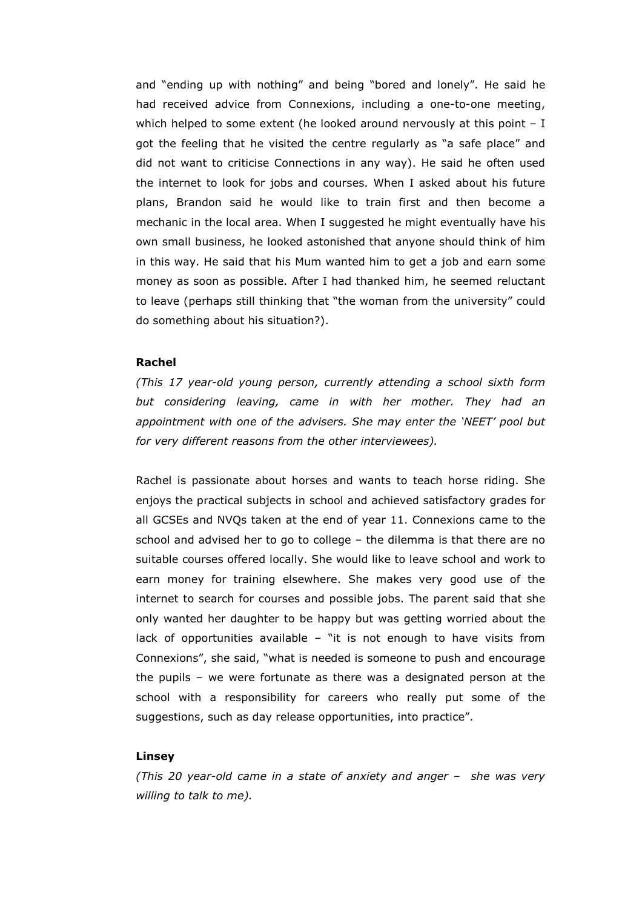and "ending up with nothing" and being "bored and lonely". He said he had received advice from Connexions, including a one-to-one meeting, which helped to some extent (he looked around nervously at this point - I got the feeling that he visited the centre regularly as "a safe place" and did not want to criticise Connections in any way). He said he often used the internet to look for jobs and courses. When I asked about his future plans, Brandon said he would like to train first and then become a mechanic in the local area. When I suggested he might eventually have his own small business, he looked astonished that anyone should think of him in this way. He said that his Mum wanted him to get a job and earn some money as soon as possible. After I had thanked him, he seemed reluctant to leave (perhaps still thinking that "the woman from the university" could do something about his situation?).

### Rachel

(This 17 year-old young person, currently attending a school sixth form but considering leaving, came in with her mother. They had an appointment with one of the advisers. She may enter the 'NEET' pool but for very different reasons from the other interviewees).

Rachel is passionate about horses and wants to teach horse riding. She enjoys the practical subjects in school and achieved satisfactory grades for all GCSEs and NVQs taken at the end of year 11. Connexions came to the school and advised her to go to college – the dilemma is that there are no suitable courses offered locally. She would like to leave school and work to earn money for training elsewhere. She makes very good use of the internet to search for courses and possible jobs. The parent said that she only wanted her daughter to be happy but was getting worried about the lack of opportunities available  $-$  "it is not enough to have visits from Connexions", she said, "what is needed is someone to push and encourage the pupils – we were fortunate as there was a designated person at the school with a responsibility for careers who really put some of the suggestions, such as day release opportunities, into practice".

#### Linsey

(This 20 year-old came in a state of anxiety and anger – she was very willing to talk to me).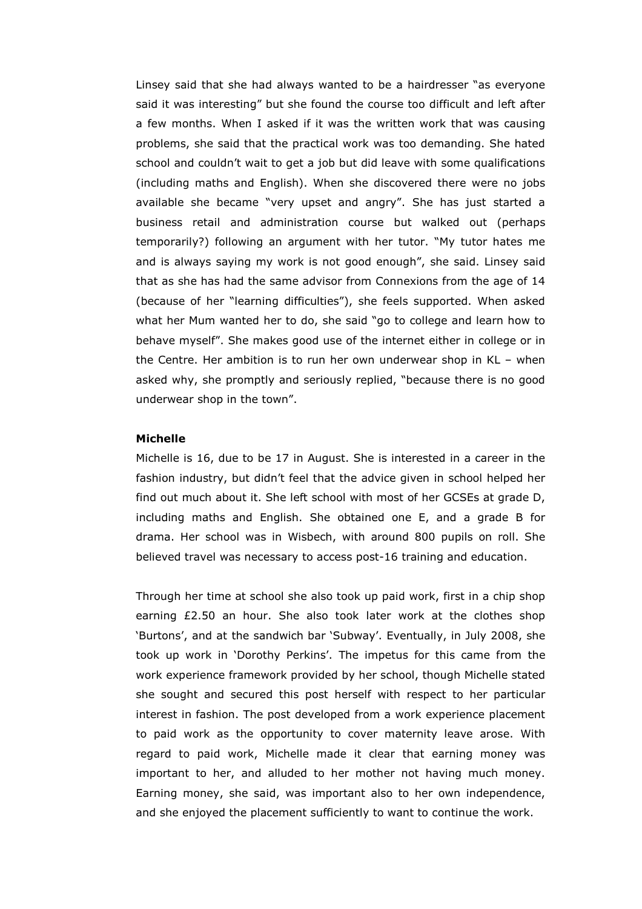Linsey said that she had always wanted to be a hairdresser "as everyone said it was interesting" but she found the course too difficult and left after a few months. When I asked if it was the written work that was causing problems, she said that the practical work was too demanding. She hated school and couldn't wait to get a job but did leave with some qualifications (including maths and English). When she discovered there were no jobs available she became "very upset and angry". She has just started a business retail and administration course but walked out (perhaps temporarily?) following an argument with her tutor. "My tutor hates me and is always saying my work is not good enough", she said. Linsey said that as she has had the same advisor from Connexions from the age of 14 (because of her "learning difficulties"), she feels supported. When asked what her Mum wanted her to do, she said "go to college and learn how to behave myself". She makes good use of the internet either in college or in the Centre. Her ambition is to run her own underwear shop in KL – when asked why, she promptly and seriously replied, "because there is no good underwear shop in the town".

### Michelle

Michelle is 16, due to be 17 in August. She is interested in a career in the fashion industry, but didn't feel that the advice given in school helped her find out much about it. She left school with most of her GCSEs at grade D, including maths and English. She obtained one E, and a grade B for drama. Her school was in Wisbech, with around 800 pupils on roll. She believed travel was necessary to access post-16 training and education.

Through her time at school she also took up paid work, first in a chip shop earning £2.50 an hour. She also took later work at the clothes shop 'Burtons', and at the sandwich bar 'Subway'. Eventually, in July 2008, she took up work in 'Dorothy Perkins'. The impetus for this came from the work experience framework provided by her school, though Michelle stated she sought and secured this post herself with respect to her particular interest in fashion. The post developed from a work experience placement to paid work as the opportunity to cover maternity leave arose. With regard to paid work, Michelle made it clear that earning money was important to her, and alluded to her mother not having much money. Earning money, she said, was important also to her own independence, and she enjoyed the placement sufficiently to want to continue the work.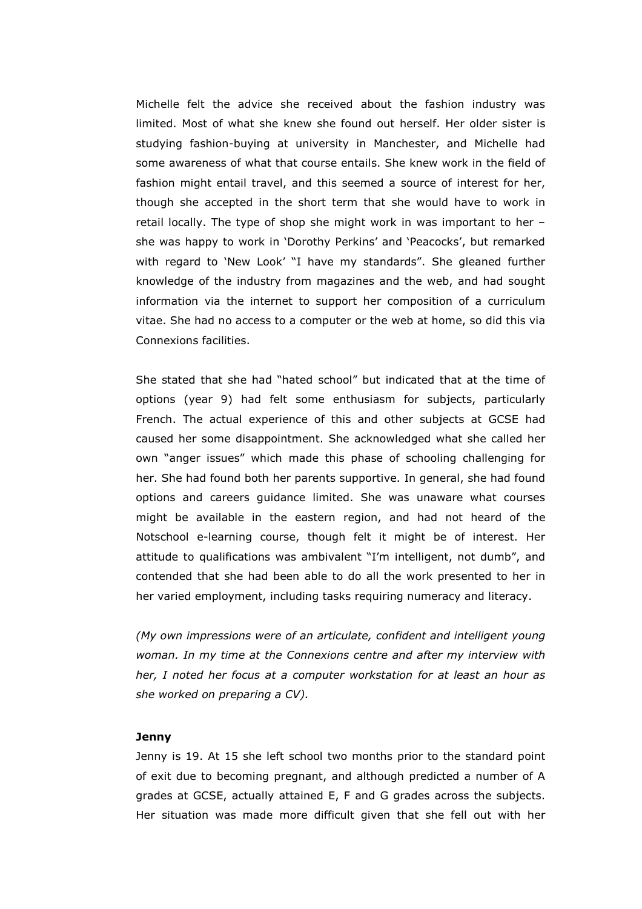Michelle felt the advice she received about the fashion industry was limited. Most of what she knew she found out herself. Her older sister is studying fashion-buying at university in Manchester, and Michelle had some awareness of what that course entails. She knew work in the field of fashion might entail travel, and this seemed a source of interest for her, though she accepted in the short term that she would have to work in retail locally. The type of shop she might work in was important to her – she was happy to work in 'Dorothy Perkins' and 'Peacocks', but remarked with regard to 'New Look' "I have my standards". She gleaned further knowledge of the industry from magazines and the web, and had sought information via the internet to support her composition of a curriculum vitae. She had no access to a computer or the web at home, so did this via Connexions facilities.

She stated that she had "hated school" but indicated that at the time of options (year 9) had felt some enthusiasm for subjects, particularly French. The actual experience of this and other subjects at GCSE had caused her some disappointment. She acknowledged what she called her own "anger issues" which made this phase of schooling challenging for her. She had found both her parents supportive. In general, she had found options and careers guidance limited. She was unaware what courses might be available in the eastern region, and had not heard of the Notschool e-learning course, though felt it might be of interest. Her attitude to qualifications was ambivalent "I'm intelligent, not dumb", and contended that she had been able to do all the work presented to her in her varied employment, including tasks requiring numeracy and literacy.

(My own impressions were of an articulate, confident and intelligent young woman. In my time at the Connexions centre and after my interview with her, I noted her focus at a computer workstation for at least an hour as she worked on preparing a CV).

### Jenny

Jenny is 19. At 15 she left school two months prior to the standard point of exit due to becoming pregnant, and although predicted a number of A grades at GCSE, actually attained E, F and G grades across the subjects. Her situation was made more difficult given that she fell out with her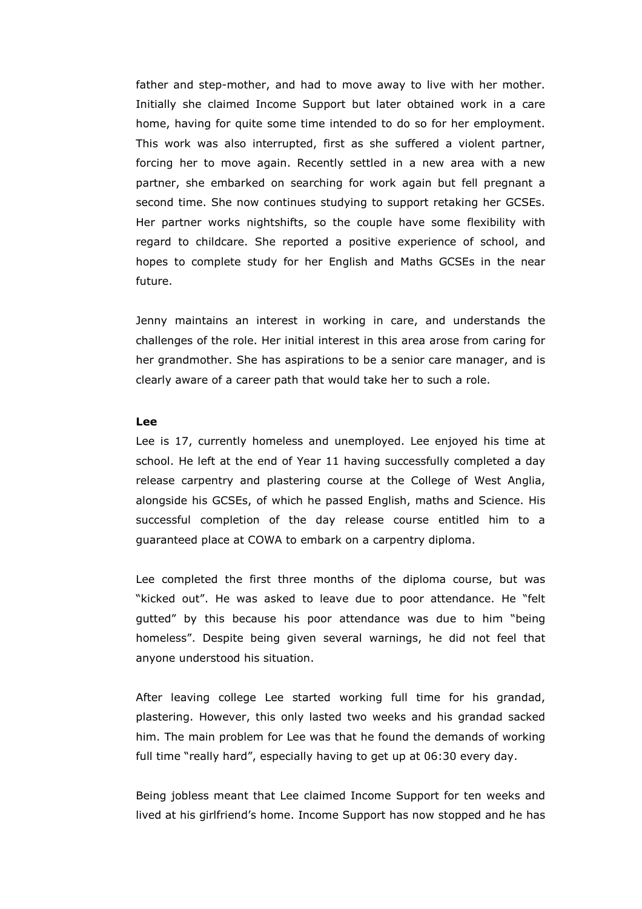father and step-mother, and had to move away to live with her mother. Initially she claimed Income Support but later obtained work in a care home, having for quite some time intended to do so for her employment. This work was also interrupted, first as she suffered a violent partner, forcing her to move again. Recently settled in a new area with a new partner, she embarked on searching for work again but fell pregnant a second time. She now continues studying to support retaking her GCSEs. Her partner works nightshifts, so the couple have some flexibility with regard to childcare. She reported a positive experience of school, and hopes to complete study for her English and Maths GCSEs in the near future.

Jenny maintains an interest in working in care, and understands the challenges of the role. Her initial interest in this area arose from caring for her grandmother. She has aspirations to be a senior care manager, and is clearly aware of a career path that would take her to such a role.

# Lee

Lee is 17, currently homeless and unemployed. Lee enjoyed his time at school. He left at the end of Year 11 having successfully completed a day release carpentry and plastering course at the College of West Anglia, alongside his GCSEs, of which he passed English, maths and Science. His successful completion of the day release course entitled him to a guaranteed place at COWA to embark on a carpentry diploma.

Lee completed the first three months of the diploma course, but was "kicked out". He was asked to leave due to poor attendance. He "felt gutted" by this because his poor attendance was due to him "being homeless". Despite being given several warnings, he did not feel that anyone understood his situation.

After leaving college Lee started working full time for his grandad, plastering. However, this only lasted two weeks and his grandad sacked him. The main problem for Lee was that he found the demands of working full time "really hard", especially having to get up at 06:30 every day.

Being jobless meant that Lee claimed Income Support for ten weeks and lived at his girlfriend's home. Income Support has now stopped and he has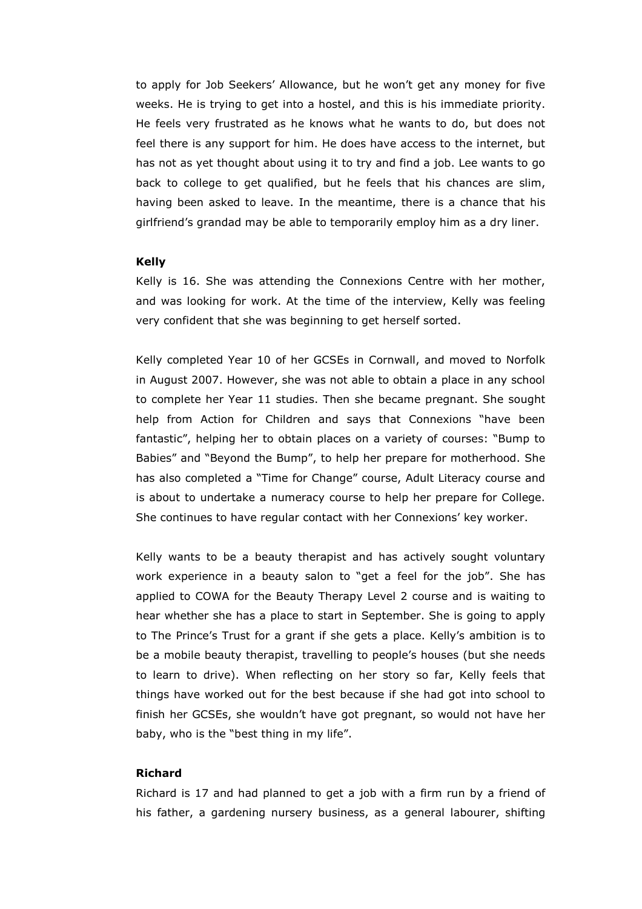to apply for Job Seekers' Allowance, but he won't get any money for five weeks. He is trying to get into a hostel, and this is his immediate priority. He feels very frustrated as he knows what he wants to do, but does not feel there is any support for him. He does have access to the internet, but has not as yet thought about using it to try and find a job. Lee wants to go back to college to get qualified, but he feels that his chances are slim, having been asked to leave. In the meantime, there is a chance that his girlfriend's grandad may be able to temporarily employ him as a dry liner.

#### Kelly

Kelly is 16. She was attending the Connexions Centre with her mother, and was looking for work. At the time of the interview, Kelly was feeling very confident that she was beginning to get herself sorted.

Kelly completed Year 10 of her GCSEs in Cornwall, and moved to Norfolk in August 2007. However, she was not able to obtain a place in any school to complete her Year 11 studies. Then she became pregnant. She sought help from Action for Children and says that Connexions "have been fantastic", helping her to obtain places on a variety of courses: "Bump to Babies" and "Beyond the Bump", to help her prepare for motherhood. She has also completed a "Time for Change" course, Adult Literacy course and is about to undertake a numeracy course to help her prepare for College. She continues to have regular contact with her Connexions' key worker.

Kelly wants to be a beauty therapist and has actively sought voluntary work experience in a beauty salon to "get a feel for the job". She has applied to COWA for the Beauty Therapy Level 2 course and is waiting to hear whether she has a place to start in September. She is going to apply to The Prince's Trust for a grant if she gets a place. Kelly's ambition is to be a mobile beauty therapist, travelling to people's houses (but she needs to learn to drive). When reflecting on her story so far, Kelly feels that things have worked out for the best because if she had got into school to finish her GCSEs, she wouldn't have got pregnant, so would not have her baby, who is the "best thing in my life".

# Richard

Richard is 17 and had planned to get a job with a firm run by a friend of his father, a gardening nursery business, as a general labourer, shifting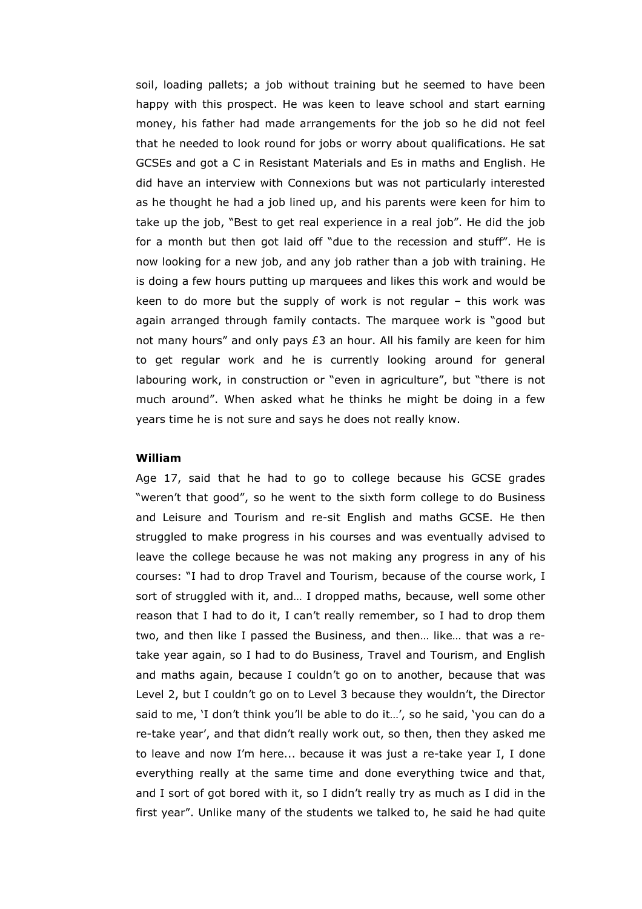soil, loading pallets; a job without training but he seemed to have been happy with this prospect. He was keen to leave school and start earning money, his father had made arrangements for the job so he did not feel that he needed to look round for jobs or worry about qualifications. He sat GCSEs and got a C in Resistant Materials and Es in maths and English. He did have an interview with Connexions but was not particularly interested as he thought he had a job lined up, and his parents were keen for him to take up the job, "Best to get real experience in a real job". He did the job for a month but then got laid off "due to the recession and stuff". He is now looking for a new job, and any job rather than a job with training. He is doing a few hours putting up marquees and likes this work and would be keen to do more but the supply of work is not regular – this work was again arranged through family contacts. The marquee work is "good but not many hours" and only pays £3 an hour. All his family are keen for him to get regular work and he is currently looking around for general labouring work, in construction or "even in agriculture", but "there is not much around". When asked what he thinks he might be doing in a few years time he is not sure and says he does not really know.

# William

Age 17, said that he had to go to college because his GCSE grades "weren't that good", so he went to the sixth form college to do Business and Leisure and Tourism and re-sit English and maths GCSE. He then struggled to make progress in his courses and was eventually advised to leave the college because he was not making any progress in any of his courses: "I had to drop Travel and Tourism, because of the course work, I sort of struggled with it, and… I dropped maths, because, well some other reason that I had to do it, I can't really remember, so I had to drop them two, and then like I passed the Business, and then… like… that was a retake year again, so I had to do Business, Travel and Tourism, and English and maths again, because I couldn't go on to another, because that was Level 2, but I couldn't go on to Level 3 because they wouldn't, the Director said to me, 'I don't think you'll be able to do it…', so he said, 'you can do a re-take year', and that didn't really work out, so then, then they asked me to leave and now I'm here... because it was just a re-take year I, I done everything really at the same time and done everything twice and that, and I sort of got bored with it, so I didn't really try as much as I did in the first year". Unlike many of the students we talked to, he said he had quite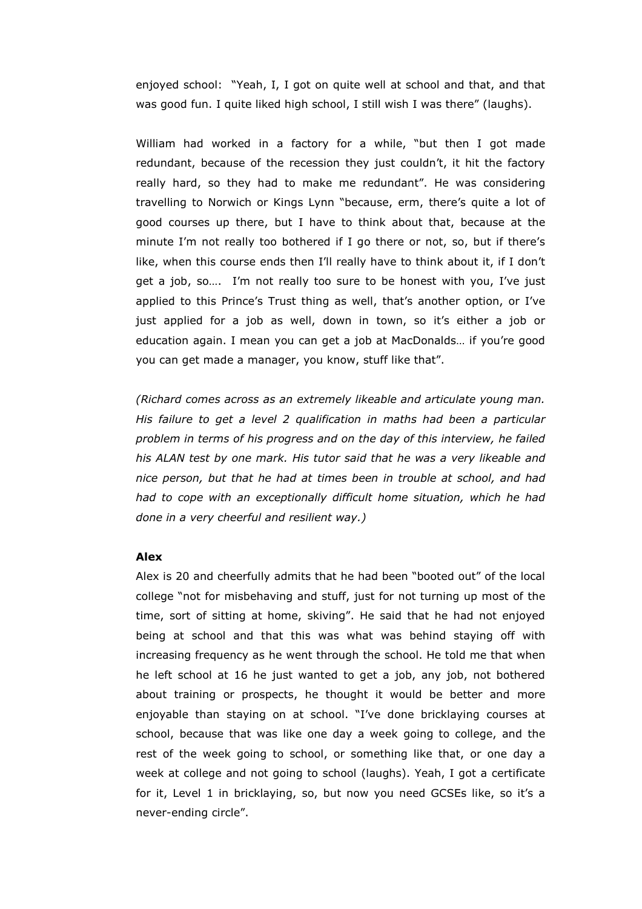enjoyed school: "Yeah, I, I got on quite well at school and that, and that was good fun. I quite liked high school, I still wish I was there" (laughs).

William had worked in a factory for a while, "but then I got made redundant, because of the recession they just couldn't, it hit the factory really hard, so they had to make me redundant". He was considering travelling to Norwich or Kings Lynn "because, erm, there's quite a lot of good courses up there, but I have to think about that, because at the minute I'm not really too bothered if I go there or not, so, but if there's like, when this course ends then I'll really have to think about it, if I don't get a job, so…. I'm not really too sure to be honest with you, I've just applied to this Prince's Trust thing as well, that's another option, or I've just applied for a job as well, down in town, so it's either a job or education again. I mean you can get a job at MacDonalds… if you're good you can get made a manager, you know, stuff like that".

(Richard comes across as an extremely likeable and articulate young man. His failure to get a level 2 qualification in maths had been a particular problem in terms of his progress and on the day of this interview, he failed his ALAN test by one mark. His tutor said that he was a very likeable and nice person, but that he had at times been in trouble at school, and had had to cope with an exceptionally difficult home situation, which he had done in a very cheerful and resilient way.)

#### Alex

Alex is 20 and cheerfully admits that he had been "booted out" of the local college "not for misbehaving and stuff, just for not turning up most of the time, sort of sitting at home, skiving". He said that he had not enjoyed being at school and that this was what was behind staying off with increasing frequency as he went through the school. He told me that when he left school at 16 he just wanted to get a job, any job, not bothered about training or prospects, he thought it would be better and more enjoyable than staying on at school. "I've done bricklaying courses at school, because that was like one day a week going to college, and the rest of the week going to school, or something like that, or one day a week at college and not going to school (laughs). Yeah, I got a certificate for it, Level 1 in bricklaying, so, but now you need GCSEs like, so it's a never-ending circle".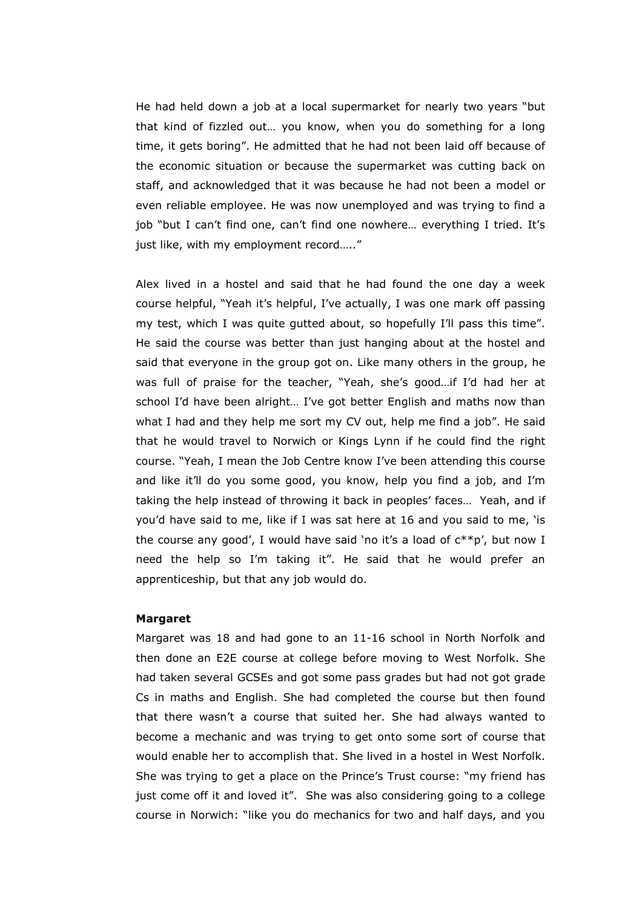He had held down a job at a local supermarket for nearly two years "but that kind of fizzled out… you know, when you do something for a long time, it gets boring". He admitted that he had not been laid off because of the economic situation or because the supermarket was cutting back on staff, and acknowledged that it was because he had not been a model or even reliable employee. He was now unemployed and was trying to find a job "but I can't find one, can't find one nowhere… everything I tried. It's just like, with my employment record….."

 Alex lived in a hostel and said that he had found the one day a week course helpful, "Yeah it's helpful, I've actually, I was one mark off passing my test, which I was quite gutted about, so hopefully I'll pass this time". He said the course was better than just hanging about at the hostel and said that everyone in the group got on. Like many others in the group, he was full of praise for the teacher, "Yeah, she's good…if I'd had her at school I'd have been alright… I've got better English and maths now than what I had and they help me sort my CV out, help me find a job". He said that he would travel to Norwich or Kings Lynn if he could find the right course. "Yeah, I mean the Job Centre know I've been attending this course and like it'll do you some good, you know, help you find a job, and I'm taking the help instead of throwing it back in peoples' faces… Yeah, and if you'd have said to me, like if I was sat here at 16 and you said to me, 'is the course any good', I would have said 'no it's a load of c\*\*p', but now I need the help so I'm taking it". He said that he would prefer an apprenticeship, but that any job would do.

#### Margaret

Margaret was 18 and had gone to an 11-16 school in North Norfolk and then done an E2E course at college before moving to West Norfolk. She had taken several GCSEs and got some pass grades but had not got grade Cs in maths and English. She had completed the course but then found that there wasn't a course that suited her. She had always wanted to become a mechanic and was trying to get onto some sort of course that would enable her to accomplish that. She lived in a hostel in West Norfolk. She was trying to get a place on the Prince's Trust course: "my friend has just come off it and loved it". She was also considering going to a college course in Norwich: "like you do mechanics for two and half days, and you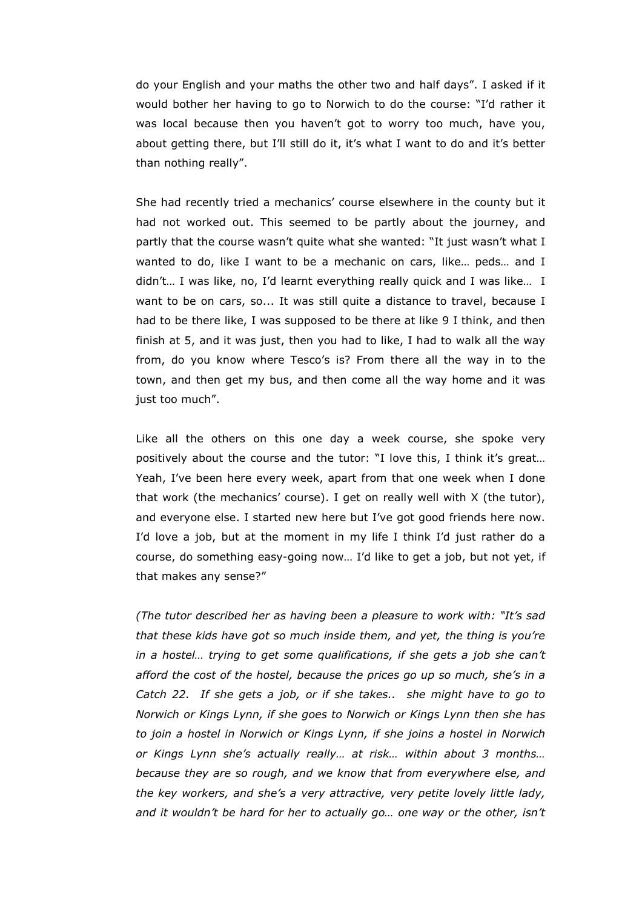do your English and your maths the other two and half days". I asked if it would bother her having to go to Norwich to do the course: "I'd rather it was local because then you haven't got to worry too much, have you, about getting there, but I'll still do it, it's what I want to do and it's better than nothing really".

She had recently tried a mechanics' course elsewhere in the county but it had not worked out. This seemed to be partly about the journey, and partly that the course wasn't quite what she wanted: "It just wasn't what I wanted to do, like I want to be a mechanic on cars, like... peds... and I didn't… I was like, no, I'd learnt everything really quick and I was like… I want to be on cars, so... It was still quite a distance to travel, because I had to be there like, I was supposed to be there at like 9 I think, and then finish at 5, and it was just, then you had to like, I had to walk all the way from, do you know where Tesco's is? From there all the way in to the town, and then get my bus, and then come all the way home and it was just too much".

Like all the others on this one day a week course, she spoke very positively about the course and the tutor: "I love this, I think it's great... Yeah, I've been here every week, apart from that one week when I done that work (the mechanics' course). I get on really well with X (the tutor), and everyone else. I started new here but I've got good friends here now. I'd love a job, but at the moment in my life I think I'd just rather do a course, do something easy-going now… I'd like to get a job, but not yet, if that makes any sense?"

(The tutor described her as having been a pleasure to work with: "It's sad that these kids have got so much inside them, and yet, the thing is you're in a hostel… trying to get some qualifications, if she gets a job she can't afford the cost of the hostel, because the prices go up so much, she's in a Catch 22. If she gets a job, or if she takes.. she might have to go to Norwich or Kings Lynn, if she goes to Norwich or Kings Lynn then she has to join a hostel in Norwich or Kings Lynn, if she joins a hostel in Norwich or Kings Lynn she's actually really… at risk… within about 3 months… because they are so rough, and we know that from everywhere else, and the key workers, and she's a very attractive, very petite lovely little lady, and it wouldn't be hard for her to actually go… one way or the other, isn't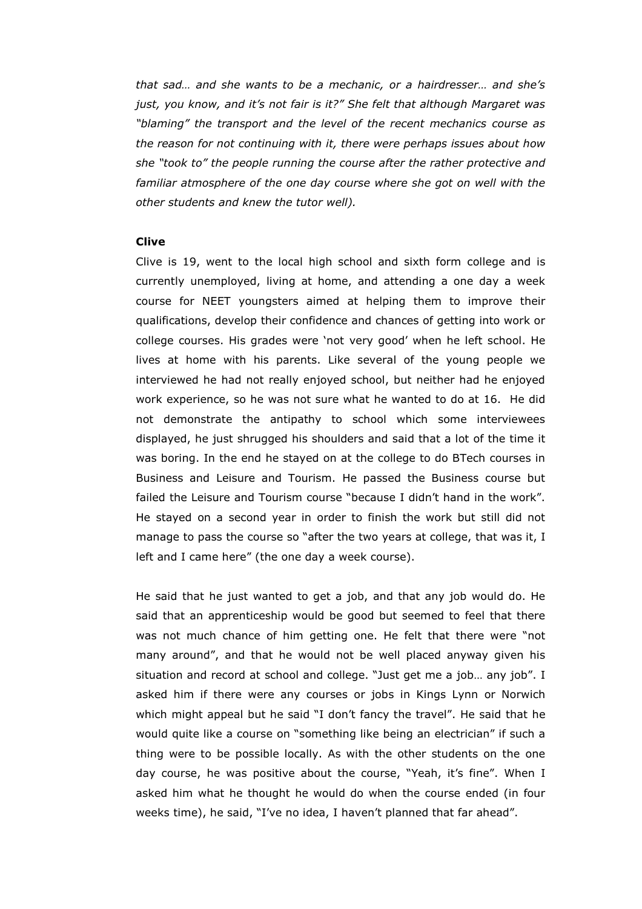that sad… and she wants to be a mechanic, or a hairdresser… and she's just, you know, and it's not fair is it?" She felt that although Margaret was "blaming" the transport and the level of the recent mechanics course as the reason for not continuing with it, there were perhaps issues about how she "took to" the people running the course after the rather protective and familiar atmosphere of the one day course where she got on well with the other students and knew the tutor well).

#### Clive

Clive is 19, went to the local high school and sixth form college and is currently unemployed, living at home, and attending a one day a week course for NEET youngsters aimed at helping them to improve their qualifications, develop their confidence and chances of getting into work or college courses. His grades were 'not very good' when he left school. He lives at home with his parents. Like several of the young people we interviewed he had not really enjoyed school, but neither had he enjoyed work experience, so he was not sure what he wanted to do at 16. He did not demonstrate the antipathy to school which some interviewees displayed, he just shrugged his shoulders and said that a lot of the time it was boring. In the end he stayed on at the college to do BTech courses in Business and Leisure and Tourism. He passed the Business course but failed the Leisure and Tourism course "because I didn't hand in the work". He stayed on a second year in order to finish the work but still did not manage to pass the course so "after the two years at college, that was it, I left and I came here" (the one day a week course).

He said that he just wanted to get a job, and that any job would do. He said that an apprenticeship would be good but seemed to feel that there was not much chance of him getting one. He felt that there were "not many around", and that he would not be well placed anyway given his situation and record at school and college. "Just get me a job… any job". I asked him if there were any courses or jobs in Kings Lynn or Norwich which might appeal but he said "I don't fancy the travel". He said that he would quite like a course on "something like being an electrician" if such a thing were to be possible locally. As with the other students on the one day course, he was positive about the course, "Yeah, it's fine". When I asked him what he thought he would do when the course ended (in four weeks time), he said, "I've no idea, I haven't planned that far ahead".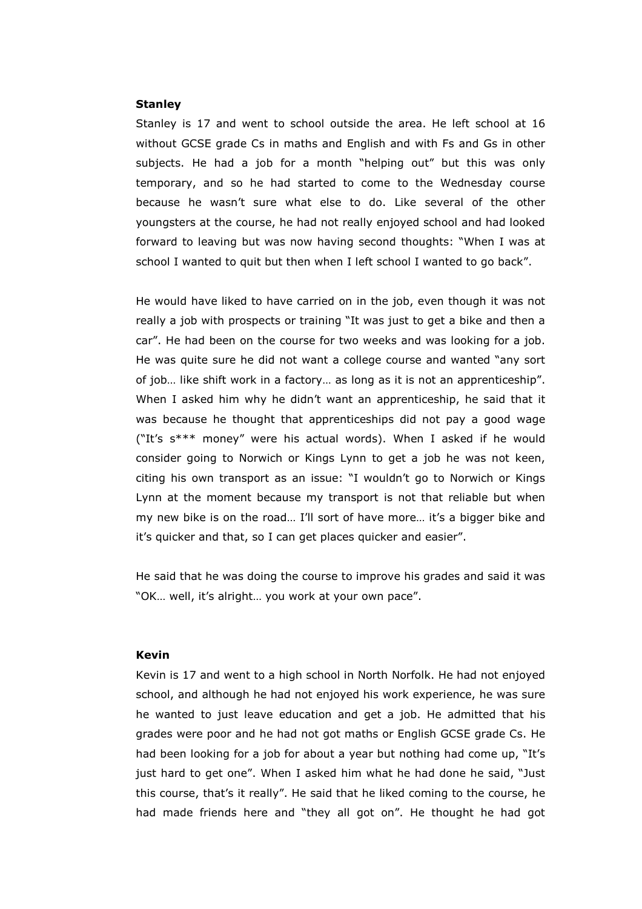#### **Stanley**

Stanley is 17 and went to school outside the area. He left school at 16 without GCSE grade Cs in maths and English and with Fs and Gs in other subjects. He had a job for a month "helping out" but this was only temporary, and so he had started to come to the Wednesday course because he wasn't sure what else to do. Like several of the other youngsters at the course, he had not really enjoyed school and had looked forward to leaving but was now having second thoughts: "When I was at school I wanted to quit but then when I left school I wanted to go back".

He would have liked to have carried on in the job, even though it was not really a job with prospects or training "It was just to get a bike and then a car". He had been on the course for two weeks and was looking for a job. He was quite sure he did not want a college course and wanted "any sort of job… like shift work in a factory… as long as it is not an apprenticeship". When I asked him why he didn't want an apprenticeship, he said that it was because he thought that apprenticeships did not pay a good wage ("It's s\*\*\* money" were his actual words). When I asked if he would consider going to Norwich or Kings Lynn to get a job he was not keen, citing his own transport as an issue: "I wouldn't go to Norwich or Kings Lynn at the moment because my transport is not that reliable but when my new bike is on the road… I'll sort of have more… it's a bigger bike and it's quicker and that, so I can get places quicker and easier".

He said that he was doing the course to improve his grades and said it was "OK… well, it's alright… you work at your own pace".

### Kevin

Kevin is 17 and went to a high school in North Norfolk. He had not enjoyed school, and although he had not enjoyed his work experience, he was sure he wanted to just leave education and get a job. He admitted that his grades were poor and he had not got maths or English GCSE grade Cs. He had been looking for a job for about a year but nothing had come up, "It's just hard to get one". When I asked him what he had done he said, "Just this course, that's it really". He said that he liked coming to the course, he had made friends here and "they all got on". He thought he had got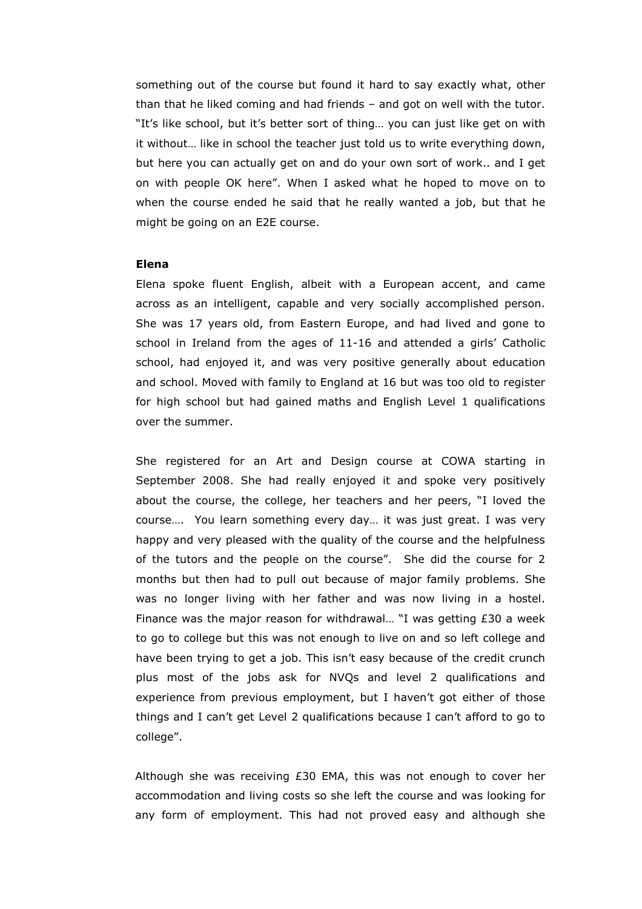something out of the course but found it hard to say exactly what, other than that he liked coming and had friends – and got on well with the tutor. "It's like school, but it's better sort of thing… you can just like get on with it without… like in school the teacher just told us to write everything down, but here you can actually get on and do your own sort of work.. and I get on with people OK here". When I asked what he hoped to move on to when the course ended he said that he really wanted a job, but that he might be going on an E2E course.

#### Elena

Elena spoke fluent English, albeit with a European accent, and came across as an intelligent, capable and very socially accomplished person. She was 17 years old, from Eastern Europe, and had lived and gone to school in Ireland from the ages of 11-16 and attended a girls' Catholic school, had enjoyed it, and was very positive generally about education and school. Moved with family to England at 16 but was too old to register for high school but had gained maths and English Level 1 qualifications over the summer.

 She registered for an Art and Design course at COWA starting in September 2008. She had really enjoyed it and spoke very positively about the course, the college, her teachers and her peers, "I loved the course…. You learn something every day… it was just great. I was very happy and very pleased with the quality of the course and the helpfulness of the tutors and the people on the course". She did the course for 2 months but then had to pull out because of major family problems. She was no longer living with her father and was now living in a hostel. Finance was the major reason for withdrawal… "I was getting £30 a week to go to college but this was not enough to live on and so left college and have been trying to get a job. This isn't easy because of the credit crunch plus most of the jobs ask for NVQs and level 2 qualifications and experience from previous employment, but I haven't got either of those things and I can't get Level 2 qualifications because I can't afford to go to college".

 Although she was receiving £30 EMA, this was not enough to cover her accommodation and living costs so she left the course and was looking for any form of employment. This had not proved easy and although she